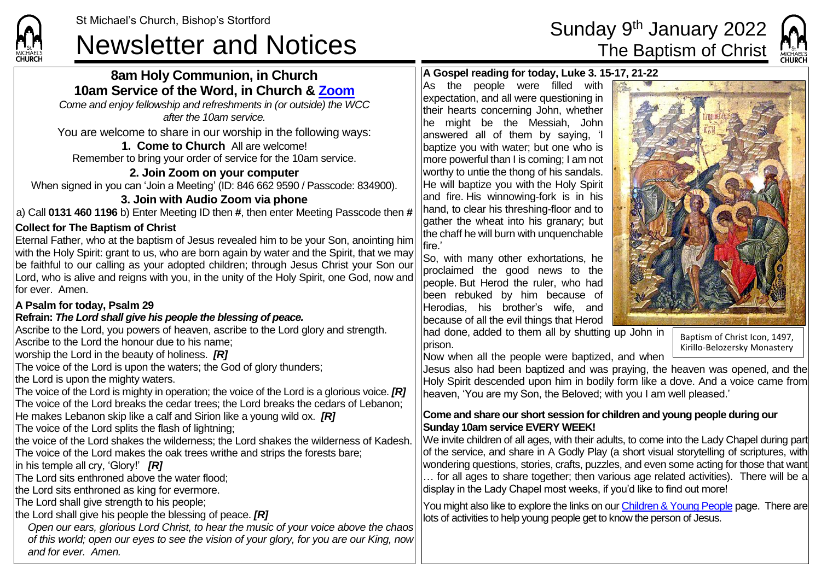CHI IDCL

# St Michael's Church, Bishop's Stortford<br>Newsletter and Notices The Baptism of Christ

# **8am Holy Communion, in Church 10am Service of the Word, in Church & [Zoom](https://zoom.us/)**

*Come and enjoy fellowship and refreshments in (or outside) the WCC after the 10am service.*

You are welcome to share in our worship in the following ways:

#### **1. Come to Church** All are welcome! Remember to bring your order of service for the 10am service.

### **2. Join Zoom on your computer**

When signed in you can 'Join a Meeting' (ID: 846 662 9590 / Passcode: 834900).

# **3. Join with Audio Zoom via phone**

a) Call **0131 460 1196** b) Enter Meeting ID then **#**, then enter Meeting Passcode then **#**

### **Collect for The Baptism of Christ**

Eternal Father, who at the baptism of Jesus revealed him to be your Son, anointing him with the Holy Spirit: grant to us, who are born again by water and the Spirit, that we may be faithful to our calling as your adopted children; through Jesus Christ your Son our Lord, who is alive and reigns with you, in the unity of the Holy Spirit, one God, now and for ever. Amen.

#### **A Psalm for today, Psalm 29**

#### **Refrain:** *The Lord shall give his people the blessing of peace.*

Ascribe to the Lord, you powers of heaven, ascribe to the Lord glory and strength. Ascribe to the Lord the honour due to his name;

worship the Lord in the beauty of holiness. *[R]*

The voice of the Lord is upon the waters; the God of glory thunders;

the Lord is upon the mighty waters.

The voice of the Lord is mighty in operation; the voice of the Lord is a glorious voice. *[R]* The voice of the Lord breaks the cedar trees; the Lord breaks the cedars of Lebanon; He makes Lebanon skip like a calf and Sirion like a young wild ox. *[R]*

The voice of the Lord splits the flash of lightning;

the voice of the Lord shakes the wilderness; the Lord shakes the wilderness of Kadesh. The voice of the Lord makes the oak trees writhe and strips the forests bare;

in his temple all cry, 'Glory!' *[R]*

The Lord sits enthroned above the water flood;

the Lord sits enthroned as king for evermore.

The Lord shall give strength to his people;

the Lord shall give his people the blessing of peace. *[R]*

*Open our ears, glorious Lord Christ, to hear the music of your voice above the chaos of this world; open our eyes to see the vision of your glory, for you are our King, now and for ever. Amen.*



#### **A Gospel reading for today, Luke 3. 15-17, 21-22**

As the people were filled with expectation, and all were questioning in their hearts concerning John, whether he might be the Messiah, John answered all of them by saying, 'I baptize you with water; but one who is more powerful than I is coming; I am not worthy to untie the thong of his sandals. He will baptize you with the Holy Spirit and fire. His winnowing-fork is in his hand, to clear his threshing-floor and to lgather the wheat into his granary; but the chaff he will burn with unquenchable fire.'

So, with many other exhortations, he proclaimed the good news to the people. But Herod the ruler, who had been rebuked by him because of Herodias, his brother's wife, and because of all the evil things that Herod

had done, added to them all by shutting up John in prison.

Baptism of Christ Icon, 1497, Kirillo-Belozersky Monastery

Now when all the people were baptized, and when

Jesus also had been baptized and was praying, the heaven was opened, and the Holy Spirit descended upon him in bodily form like a dove. And a voice came from heaven, 'You are my Son, the Beloved; with you I am well pleased.'

#### **Come and share our short session for children and young people during our Sunday 10am service EVERY WEEK!**

We invite children of all ages, with their adults, to come into the Lady Chapel during part of the service, and share in A Godly Play (a short visual storytelling of scriptures, with wondering questions, stories, crafts, puzzles, and even some acting for those that want … for all ages to share together; then various age related activities). There will be a display in the Lady Chapel most weeks, if you'd like to find out more!

You might also like to explore the links on our [Children & Young People](https://saintmichaelweb.org.uk/Groups/310496/Children_and_Young.aspx) page. There are lots of activities to help young people get to know the person of Jesus.